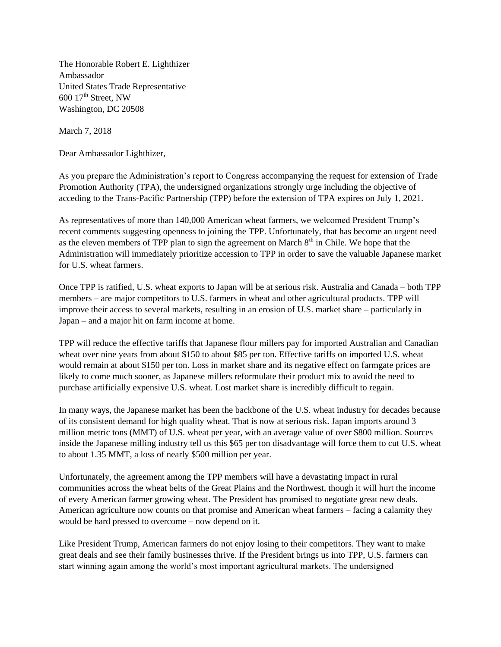The Honorable Robert E. Lighthizer Ambassador United States Trade Representative  $600$  17<sup>th</sup> Street, NW Washington, DC 20508

March 7, 2018

Dear Ambassador Lighthizer,

As you prepare the Administration's report to Congress accompanying the request for extension of Trade Promotion Authority (TPA), the undersigned organizations strongly urge including the objective of acceding to the Trans-Pacific Partnership (TPP) before the extension of TPA expires on July 1, 2021.

As representatives of more than 140,000 American wheat farmers, we welcomed President Trump's recent comments suggesting openness to joining the TPP. Unfortunately, that has become an urgent need as the eleven members of TPP plan to sign the agreement on March  $8<sup>th</sup>$  in Chile. We hope that the Administration will immediately prioritize accession to TPP in order to save the valuable Japanese market for U.S. wheat farmers.

Once TPP is ratified, U.S. wheat exports to Japan will be at serious risk. Australia and Canada – both TPP members – are major competitors to U.S. farmers in wheat and other agricultural products. TPP will improve their access to several markets, resulting in an erosion of U.S. market share – particularly in Japan – and a major hit on farm income at home.

TPP will reduce the effective tariffs that Japanese flour millers pay for imported Australian and Canadian wheat over nine years from about \$150 to about \$85 per ton. Effective tariffs on imported U.S. wheat would remain at about \$150 per ton. Loss in market share and its negative effect on farmgate prices are likely to come much sooner, as Japanese millers reformulate their product mix to avoid the need to purchase artificially expensive U.S. wheat. Lost market share is incredibly difficult to regain.

In many ways, the Japanese market has been the backbone of the U.S. wheat industry for decades because of its consistent demand for high quality wheat. That is now at serious risk. Japan imports around 3 million metric tons (MMT) of U.S. wheat per year, with an average value of over \$800 million. Sources inside the Japanese milling industry tell us this \$65 per ton disadvantage will force them to cut U.S. wheat to about 1.35 MMT, a loss of nearly \$500 million per year.

Unfortunately, the agreement among the TPP members will have a devastating impact in rural communities across the wheat belts of the Great Plains and the Northwest, though it will hurt the income of every American farmer growing wheat. The President has promised to negotiate great new deals. American agriculture now counts on that promise and American wheat farmers – facing a calamity they would be hard pressed to overcome – now depend on it.

Like President Trump, American farmers do not enjoy losing to their competitors. They want to make great deals and see their family businesses thrive. If the President brings us into TPP, U.S. farmers can start winning again among the world's most important agricultural markets. The undersigned